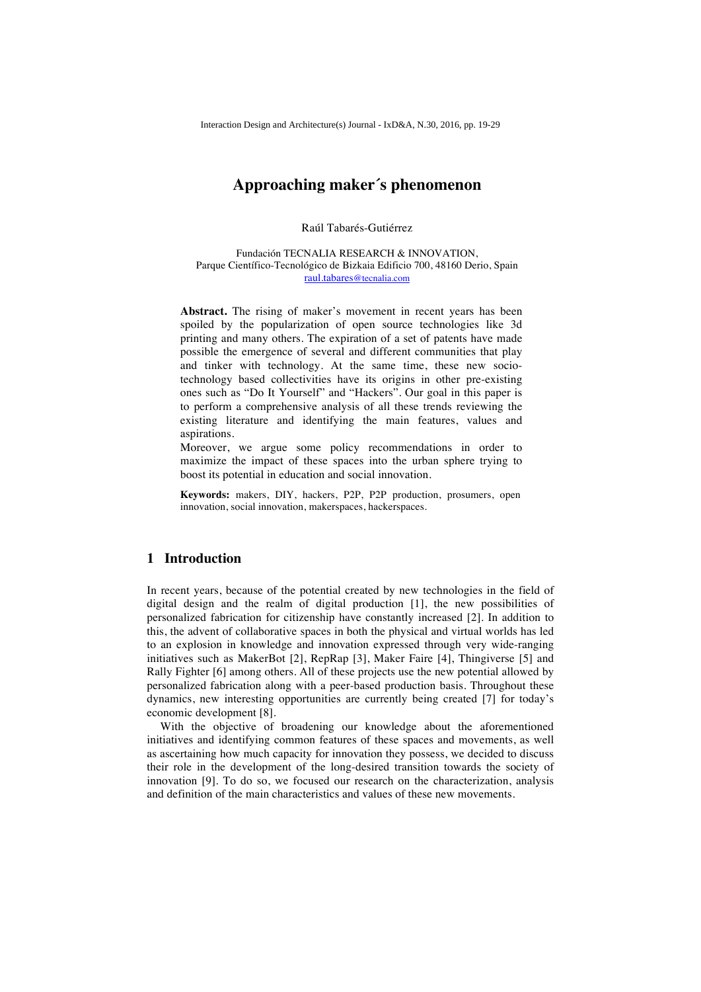# **Approaching maker´s phenomenon**

Raúl Tabarés-Gutiérrez

Fundación TECNALIA RESEARCH & INNOVATION, Parque Científico-Tecnológico de Bizkaia Edificio 700, 48160 Derio, Spain raul.tabares@tecnalia.com

**Abstract.** The rising of maker's movement in recent years has been spoiled by the popularization of open source technologies like 3d printing and many others. The expiration of a set of patents have made possible the emergence of several and different communities that play and tinker with technology. At the same time, these new sociotechnology based collectivities have its origins in other pre-existing ones such as "Do It Yourself" and "Hackers". Our goal in this paper is to perform a comprehensive analysis of all these trends reviewing the existing literature and identifying the main features, values and aspirations.

Moreover, we argue some policy recommendations in order to maximize the impact of these spaces into the urban sphere trying to boost its potential in education and social innovation.

**Keywords:** makers, DIY, hackers, P2P, P2P production, prosumers, open innovation, social innovation, makerspaces, hackerspaces.

### **1 Introduction**

In recent years, because of the potential created by new technologies in the field of digital design and the realm of digital production [1], the new possibilities of personalized fabrication for citizenship have constantly increased [2]. In addition to this, the advent of collaborative spaces in both the physical and virtual worlds has led to an explosion in knowledge and innovation expressed through very wide-ranging initiatives such as MakerBot [2], RepRap [3], Maker Faire [4], Thingiverse [5] and Rally Fighter [6] among others. All of these projects use the new potential allowed by personalized fabrication along with a peer-based production basis. Throughout these dynamics, new interesting opportunities are currently being created [7] for today's economic development [8].

With the objective of broadening our knowledge about the aforementioned initiatives and identifying common features of these spaces and movements, as well as ascertaining how much capacity for innovation they possess, we decided to discuss their role in the development of the long-desired transition towards the society of innovation [9]. To do so, we focused our research on the characterization, analysis and definition of the main characteristics and values of these new movements.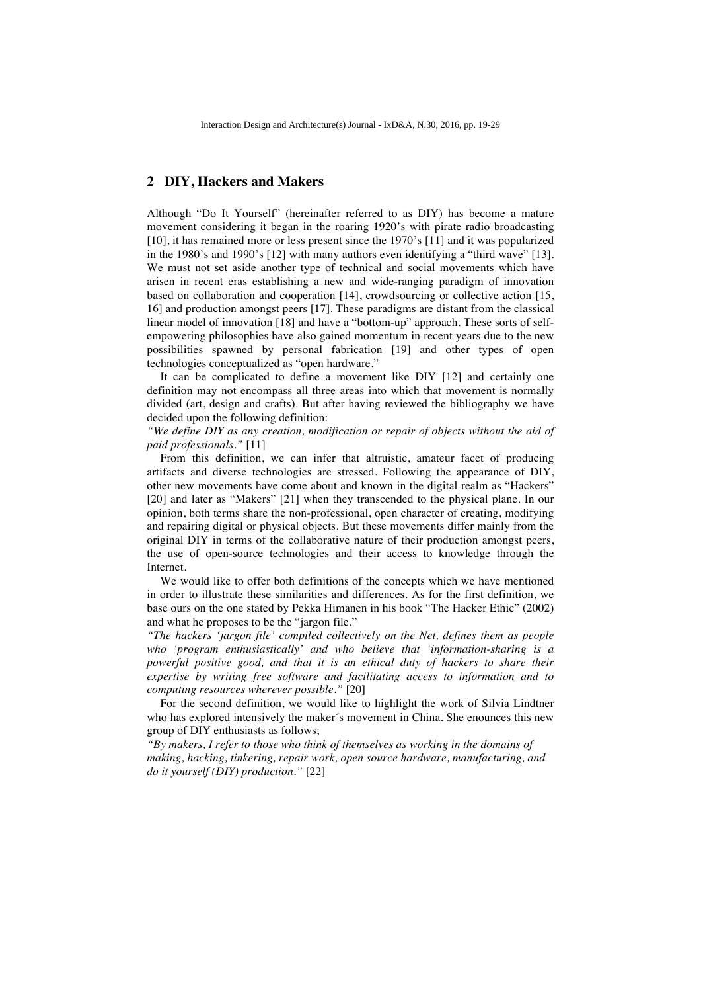### **2 DIY, Hackers and Makers**

Although "Do It Yourself" (hereinafter referred to as DIY) has become a mature movement considering it began in the roaring 1920's with pirate radio broadcasting [10], it has remained more or less present since the 1970's [11] and it was popularized in the 1980's and 1990's [12] with many authors even identifying a "third wave" [13]. We must not set aside another type of technical and social movements which have arisen in recent eras establishing a new and wide-ranging paradigm of innovation based on collaboration and cooperation [14], crowdsourcing or collective action [15, 16] and production amongst peers [17]. These paradigms are distant from the classical linear model of innovation [18] and have a "bottom-up" approach. These sorts of selfempowering philosophies have also gained momentum in recent years due to the new possibilities spawned by personal fabrication [19] and other types of open technologies conceptualized as "open hardware."

It can be complicated to define a movement like DIY [12] and certainly one definition may not encompass all three areas into which that movement is normally divided (art, design and crafts). But after having reviewed the bibliography we have decided upon the following definition:

*"We define DIY as any creation, modification or repair of objects without the aid of paid professionals."* [11]

From this definition, we can infer that altruistic, amateur facet of producing artifacts and diverse technologies are stressed. Following the appearance of DIY, other new movements have come about and known in the digital realm as "Hackers" [20] and later as "Makers" [21] when they transcended to the physical plane. In our opinion, both terms share the non-professional, open character of creating, modifying and repairing digital or physical objects. But these movements differ mainly from the original DIY in terms of the collaborative nature of their production amongst peers, the use of open-source technologies and their access to knowledge through the Internet.

We would like to offer both definitions of the concepts which we have mentioned in order to illustrate these similarities and differences. As for the first definition, we base ours on the one stated by Pekka Himanen in his book "The Hacker Ethic" (2002) and what he proposes to be the "jargon file."

*"The hackers 'jargon file' compiled collectively on the Net, defines them as people who 'program enthusiastically' and who believe that 'information-sharing is a powerful positive good, and that it is an ethical duty of hackers to share their expertise by writing free software and facilitating access to information and to computing resources wherever possible."* [20]

For the second definition, we would like to highlight the work of Silvia Lindtner who has explored intensively the maker´s movement in China. She enounces this new group of DIY enthusiasts as follows;

*"By makers, I refer to those who think of themselves as working in the domains of making, hacking, tinkering, repair work, open source hardware, manufacturing, and do it yourself (DIY) production."* [22]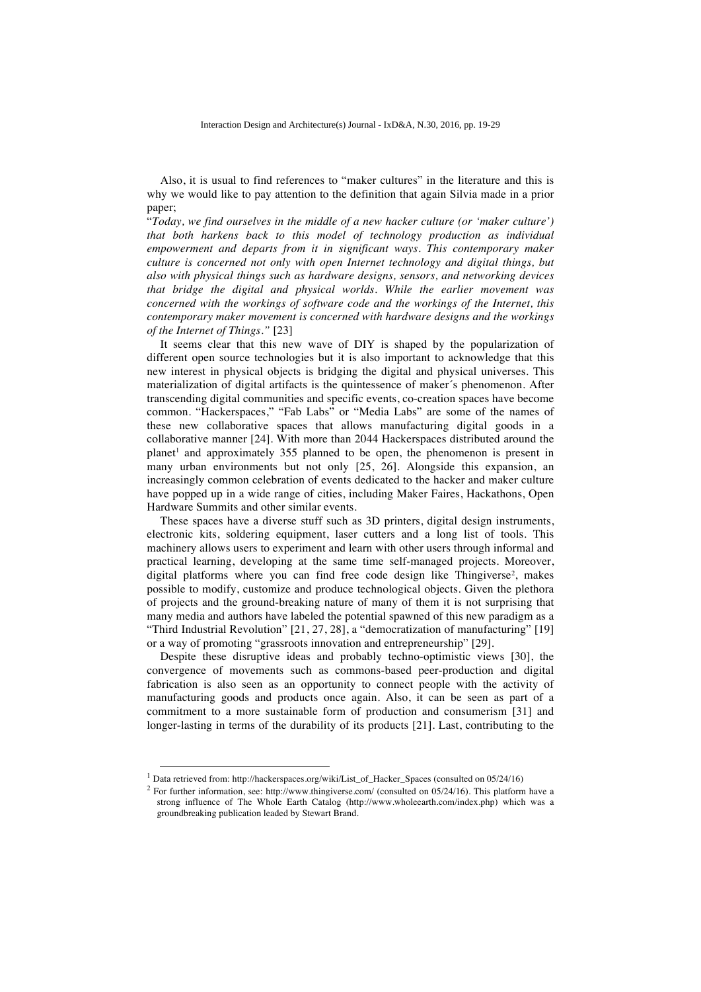Also, it is usual to find references to "maker cultures" in the literature and this is why we would like to pay attention to the definition that again Silvia made in a prior paper;

"*Today, we find ourselves in the middle of a new hacker culture (or 'maker culture') that both harkens back to this model of technology production as individual empowerment and departs from it in significant ways. This contemporary maker culture is concerned not only with open Internet technology and digital things, but also with physical things such as hardware designs, sensors, and networking devices that bridge the digital and physical worlds. While the earlier movement was concerned with the workings of software code and the workings of the Internet, this contemporary maker movement is concerned with hardware designs and the workings of the Internet of Things."* [23]

It seems clear that this new wave of DIY is shaped by the popularization of different open source technologies but it is also important to acknowledge that this new interest in physical objects is bridging the digital and physical universes. This materialization of digital artifacts is the quintessence of maker´s phenomenon. After transcending digital communities and specific events, co-creation spaces have become common. "Hackerspaces," "Fab Labs" or "Media Labs" are some of the names of these new collaborative spaces that allows manufacturing digital goods in a collaborative manner [24]. With more than 2044 Hackerspaces distributed around the planet<sup>1</sup> and approximately 355 planned to be open, the phenomenon is present in many urban environments but not only [25, 26]. Alongside this expansion, an increasingly common celebration of events dedicated to the hacker and maker culture have popped up in a wide range of cities, including Maker Faires, Hackathons, Open Hardware Summits and other similar events.

These spaces have a diverse stuff such as 3D printers, digital design instruments, electronic kits, soldering equipment, laser cutters and a long list of tools. This machinery allows users to experiment and learn with other users through informal and practical learning, developing at the same time self-managed projects. Moreover, digital platforms where you can find free code design like Thingiverse<sup>2</sup>, makes possible to modify, customize and produce technological objects. Given the plethora of projects and the ground-breaking nature of many of them it is not surprising that many media and authors have labeled the potential spawned of this new paradigm as a "Third Industrial Revolution" [21, 27, 28], a "democratization of manufacturing" [19] or a way of promoting "grassroots innovation and entrepreneurship" [29].

Despite these disruptive ideas and probably techno-optimistic views [30], the convergence of movements such as commons-based peer-production and digital fabrication is also seen as an opportunity to connect people with the activity of manufacturing goods and products once again. Also, it can be seen as part of a commitment to a more sustainable form of production and consumerism [31] and longer-lasting in terms of the durability of its products [21]. Last, contributing to the

<sup>&</sup>lt;sup>1</sup> Data retrieved from: http://hackerspaces.org/wiki/List\_of\_Hacker\_Spaces (consulted on 05/24/16)

<sup>2</sup> For further information, see: http://www.thingiverse.com/ (consulted on 05/24/16). This platform have a strong influence of The Whole Earth Catalog (http://www.wholeearth.com/index.php) which was a groundbreaking publication leaded by Stewart Brand.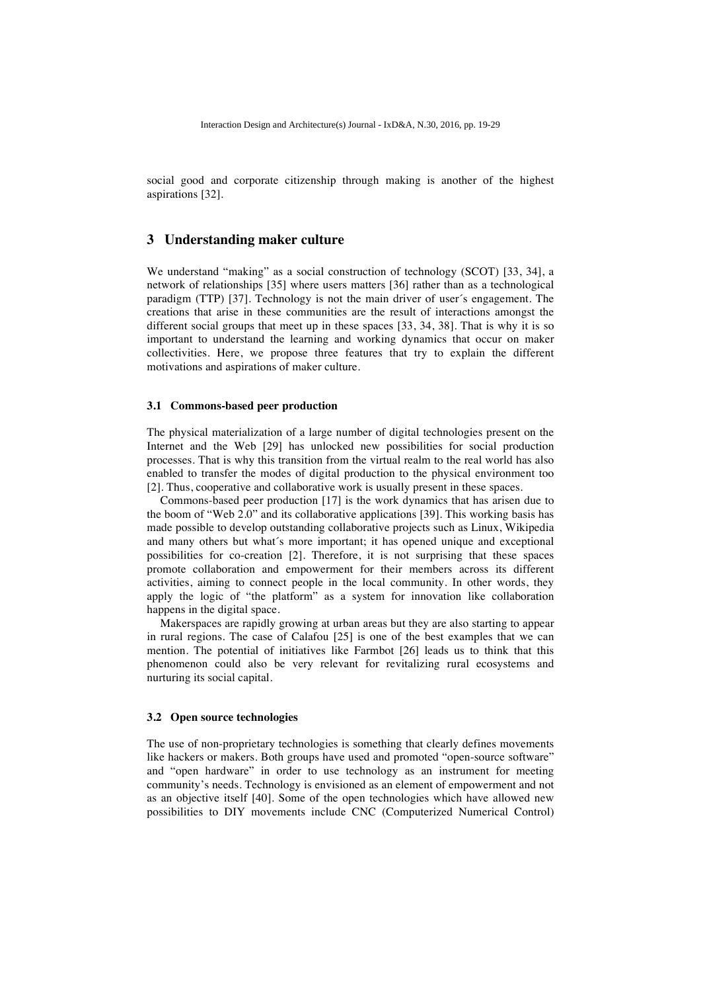social good and corporate citizenship through making is another of the highest aspirations [32].

### **3 Understanding maker culture**

We understand "making" as a social construction of technology (SCOT) [33, 34], a network of relationships [35] where users matters [36] rather than as a technological paradigm (TTP) [37]. Technology is not the main driver of user´s engagement. The creations that arise in these communities are the result of interactions amongst the different social groups that meet up in these spaces [33, 34, 38]. That is why it is so important to understand the learning and working dynamics that occur on maker collectivities. Here, we propose three features that try to explain the different motivations and aspirations of maker culture.

### **3.1 Commons-based peer production**

The physical materialization of a large number of digital technologies present on the Internet and the Web [29] has unlocked new possibilities for social production processes. That is why this transition from the virtual realm to the real world has also enabled to transfer the modes of digital production to the physical environment too [2]. Thus, cooperative and collaborative work is usually present in these spaces.

Commons-based peer production [17] is the work dynamics that has arisen due to the boom of "Web 2.0" and its collaborative applications [39]. This working basis has made possible to develop outstanding collaborative projects such as Linux, Wikipedia and many others but what´s more important; it has opened unique and exceptional possibilities for co-creation [2]. Therefore, it is not surprising that these spaces promote collaboration and empowerment for their members across its different activities, aiming to connect people in the local community. In other words, they apply the logic of "the platform" as a system for innovation like collaboration happens in the digital space.

Makerspaces are rapidly growing at urban areas but they are also starting to appear in rural regions. The case of Calafou [25] is one of the best examples that we can mention. The potential of initiatives like Farmbot [26] leads us to think that this phenomenon could also be very relevant for revitalizing rural ecosystems and nurturing its social capital.

### **3.2 Open source technologies**

The use of non-proprietary technologies is something that clearly defines movements like hackers or makers. Both groups have used and promoted "open-source software" and "open hardware" in order to use technology as an instrument for meeting community's needs. Technology is envisioned as an element of empowerment and not as an objective itself [40]. Some of the open technologies which have allowed new possibilities to DIY movements include CNC (Computerized Numerical Control)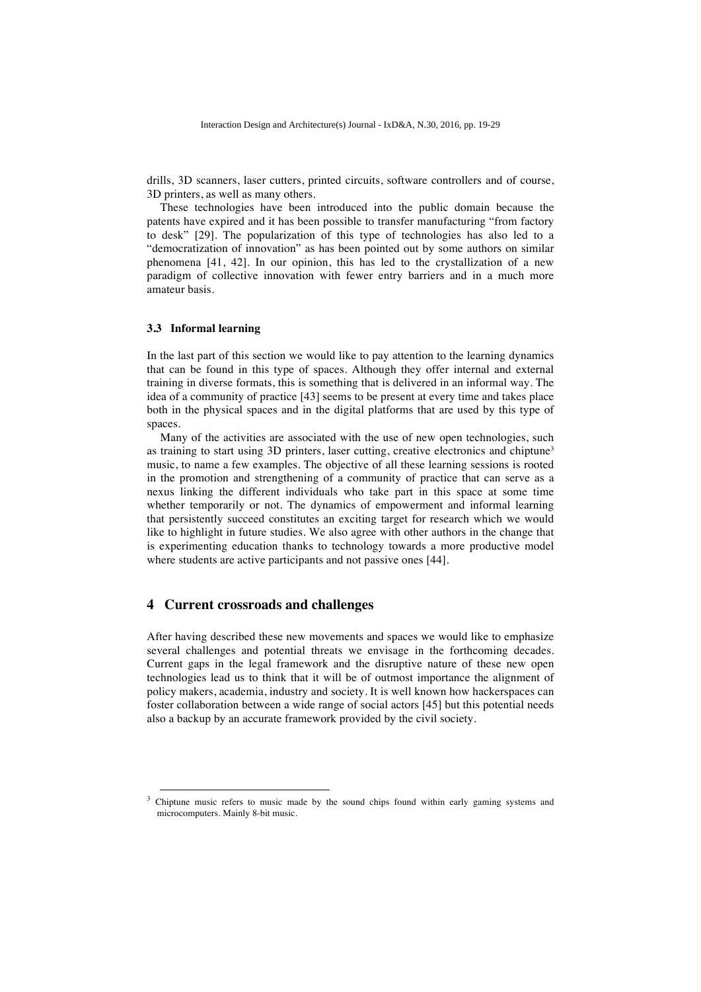drills, 3D scanners, laser cutters, printed circuits, software controllers and of course, 3D printers, as well as many others.

These technologies have been introduced into the public domain because the patents have expired and it has been possible to transfer manufacturing "from factory to desk" [29]. The popularization of this type of technologies has also led to a "democratization of innovation" as has been pointed out by some authors on similar phenomena [41, 42]. In our opinion, this has led to the crystallization of a new paradigm of collective innovation with fewer entry barriers and in a much more amateur basis.

### **3.3 Informal learning**

In the last part of this section we would like to pay attention to the learning dynamics that can be found in this type of spaces. Although they offer internal and external training in diverse formats, this is something that is delivered in an informal way. The idea of a community of practice [43] seems to be present at every time and takes place both in the physical spaces and in the digital platforms that are used by this type of spaces.

Many of the activities are associated with the use of new open technologies, such as training to start using 3D printers, laser cutting, creative electronics and chiptune<sup>3</sup> music, to name a few examples. The objective of all these learning sessions is rooted in the promotion and strengthening of a community of practice that can serve as a nexus linking the different individuals who take part in this space at some time whether temporarily or not. The dynamics of empowerment and informal learning that persistently succeed constitutes an exciting target for research which we would like to highlight in future studies. We also agree with other authors in the change that is experimenting education thanks to technology towards a more productive model where students are active participants and not passive ones [44].

### **4 Current crossroads and challenges**

After having described these new movements and spaces we would like to emphasize several challenges and potential threats we envisage in the forthcoming decades. Current gaps in the legal framework and the disruptive nature of these new open technologies lead us to think that it will be of outmost importance the alignment of policy makers, academia, industry and society. It is well known how hackerspaces can foster collaboration between a wide range of social actors [45] but this potential needs also a backup by an accurate framework provided by the civil society.

 $3$  Chiptune music refers to music made by the sound chips found within early gaming systems and microcomputers. Mainly 8-bit music.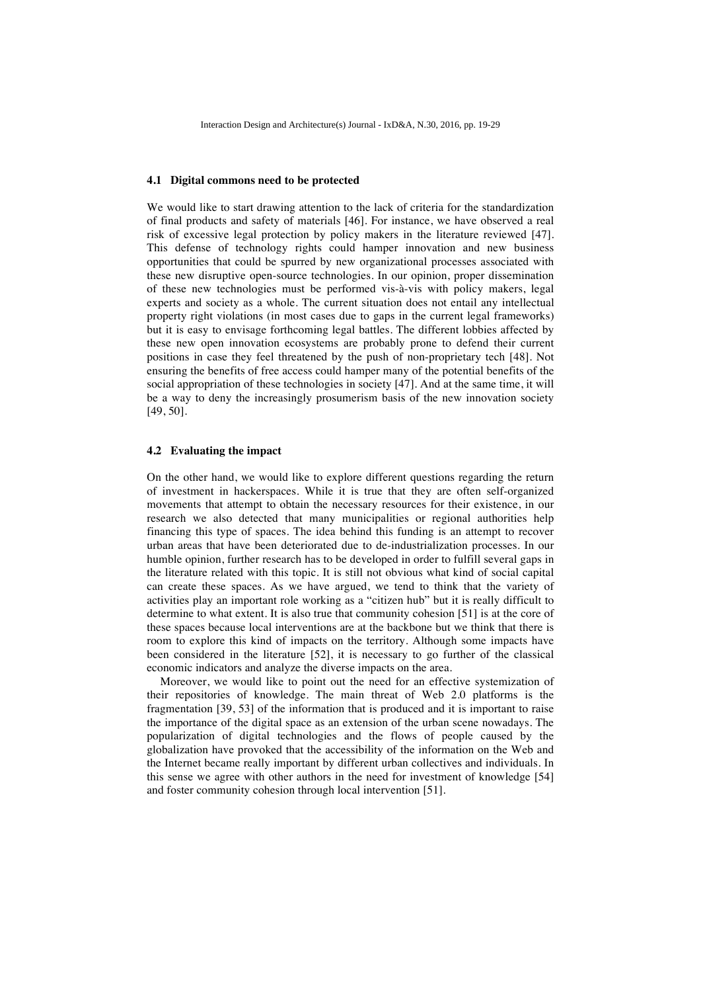#### **4.1 Digital commons need to be protected**

We would like to start drawing attention to the lack of criteria for the standardization of final products and safety of materials [46]. For instance, we have observed a real risk of excessive legal protection by policy makers in the literature reviewed [47]. This defense of technology rights could hamper innovation and new business opportunities that could be spurred by new organizational processes associated with these new disruptive open-source technologies. In our opinion, proper dissemination of these new technologies must be performed vis-à-vis with policy makers, legal experts and society as a whole. The current situation does not entail any intellectual property right violations (in most cases due to gaps in the current legal frameworks) but it is easy to envisage forthcoming legal battles. The different lobbies affected by these new open innovation ecosystems are probably prone to defend their current positions in case they feel threatened by the push of non-proprietary tech [48]. Not ensuring the benefits of free access could hamper many of the potential benefits of the social appropriation of these technologies in society [47]. And at the same time, it will be a way to deny the increasingly prosumerism basis of the new innovation society [49, 50].

### **4.2 Evaluating the impact**

On the other hand, we would like to explore different questions regarding the return of investment in hackerspaces. While it is true that they are often self-organized movements that attempt to obtain the necessary resources for their existence, in our research we also detected that many municipalities or regional authorities help financing this type of spaces. The idea behind this funding is an attempt to recover urban areas that have been deteriorated due to de-industrialization processes. In our humble opinion, further research has to be developed in order to fulfill several gaps in the literature related with this topic. It is still not obvious what kind of social capital can create these spaces. As we have argued, we tend to think that the variety of activities play an important role working as a "citizen hub" but it is really difficult to determine to what extent. It is also true that community cohesion [51] is at the core of these spaces because local interventions are at the backbone but we think that there is room to explore this kind of impacts on the territory. Although some impacts have been considered in the literature [52], it is necessary to go further of the classical economic indicators and analyze the diverse impacts on the area.

Moreover, we would like to point out the need for an effective systemization of their repositories of knowledge. The main threat of Web 2.0 platforms is the fragmentation [39, 53] of the information that is produced and it is important to raise the importance of the digital space as an extension of the urban scene nowadays. The popularization of digital technologies and the flows of people caused by the globalization have provoked that the accessibility of the information on the Web and the Internet became really important by different urban collectives and individuals. In this sense we agree with other authors in the need for investment of knowledge [54] and foster community cohesion through local intervention [51].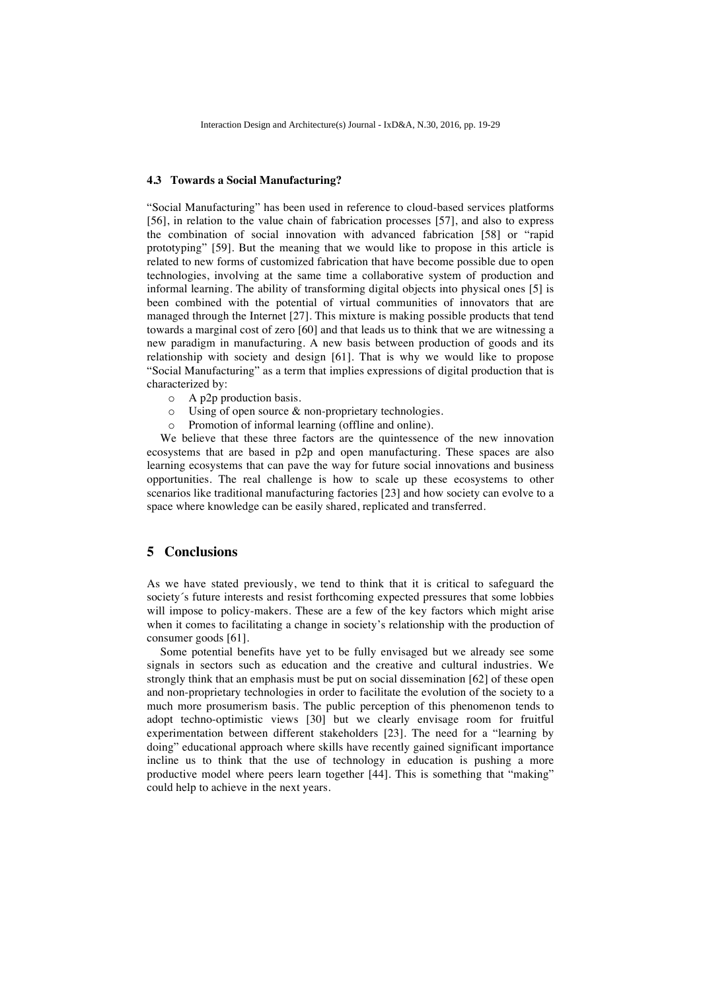#### **4.3 Towards a Social Manufacturing?**

"Social Manufacturing" has been used in reference to cloud-based services platforms [56], in relation to the value chain of fabrication processes [57], and also to express the combination of social innovation with advanced fabrication [58] or "rapid prototyping" [59]. But the meaning that we would like to propose in this article is related to new forms of customized fabrication that have become possible due to open technologies, involving at the same time a collaborative system of production and informal learning. The ability of transforming digital objects into physical ones [5] is been combined with the potential of virtual communities of innovators that are managed through the Internet [27]. This mixture is making possible products that tend towards a marginal cost of zero [60] and that leads us to think that we are witnessing a new paradigm in manufacturing. A new basis between production of goods and its relationship with society and design [61]. That is why we would like to propose "Social Manufacturing" as a term that implies expressions of digital production that is characterized by:

- o A p2p production basis.
- o Using of open source & non-proprietary technologies.
- o Promotion of informal learning (offline and online).

We believe that these three factors are the quintessence of the new innovation ecosystems that are based in p2p and open manufacturing. These spaces are also learning ecosystems that can pave the way for future social innovations and business opportunities. The real challenge is how to scale up these ecosystems to other scenarios like traditional manufacturing factories [23] and how society can evolve to a space where knowledge can be easily shared, replicated and transferred.

# **5 Conclusions**

As we have stated previously, we tend to think that it is critical to safeguard the society's future interests and resist forthcoming expected pressures that some lobbies will impose to policy-makers. These are a few of the key factors which might arise when it comes to facilitating a change in society's relationship with the production of consumer goods [61].

Some potential benefits have yet to be fully envisaged but we already see some signals in sectors such as education and the creative and cultural industries. We strongly think that an emphasis must be put on social dissemination [62] of these open and non-proprietary technologies in order to facilitate the evolution of the society to a much more prosumerism basis. The public perception of this phenomenon tends to adopt techno-optimistic views [30] but we clearly envisage room for fruitful experimentation between different stakeholders [23]. The need for a "learning by doing" educational approach where skills have recently gained significant importance incline us to think that the use of technology in education is pushing a more productive model where peers learn together [44]. This is something that "making" could help to achieve in the next years.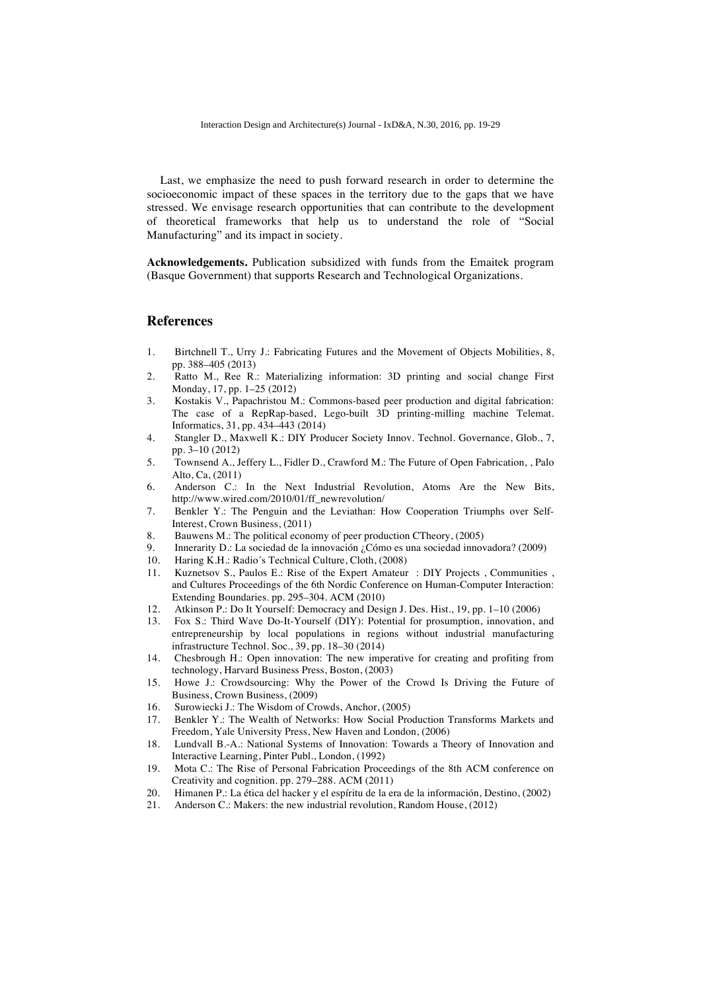Last, we emphasize the need to push forward research in order to determine the socioeconomic impact of these spaces in the territory due to the gaps that we have stressed. We envisage research opportunities that can contribute to the development of theoretical frameworks that help us to understand the role of "Social Manufacturing" and its impact in society.

**Acknowledgements.** Publication subsidized with funds from the Emaitek program (Basque Government) that supports Research and Technological Organizations.

# **References**

- 1. Birtchnell T., Urry J.: Fabricating Futures and the Movement of Objects Mobilities, 8, pp. 388–405 (2013)
- 2. Ratto M., Ree R.: Materializing information: 3D printing and social change First Monday, 17, pp. 1–25 (2012)
- 3. Kostakis V., Papachristou M.: Commons-based peer production and digital fabrication: The case of a RepRap-based, Lego-built 3D printing-milling machine Telemat. Informatics, 31, pp. 434–443 (2014)
- 4. Stangler D., Maxwell K.: DIY Producer Society Innov. Technol. Governance, Glob., 7, pp. 3–10 (2012)
- 5. Townsend A., Jeffery L., Fidler D., Crawford M.: The Future of Open Fabrication, , Palo Alto, Ca, (2011)
- 6. Anderson C.: In the Next Industrial Revolution, Atoms Are the New Bits, http://www.wired.com/2010/01/ff\_newrevolution/
- 7. Benkler Y.: The Penguin and the Leviathan: How Cooperation Triumphs over Self-Interest, Crown Business, (2011)
- 8. Bauwens M.: The political economy of peer production CTheory, (2005)
- 9. Innerarity D.: La sociedad de la innovación ¿Cómo es una sociedad innovadora? (2009) 10. Haring K.H.: Radio's Technical Culture. Cloth. (2008)
- Haring K.H.: Radio´s Technical Culture, Cloth, (2008)
- 11. Kuznetsov S., Paulos E.: Rise of the Expert Amateur: DIY Projects , Communities , and Cultures Proceedings of the 6th Nordic Conference on Human-Computer Interaction: Extending Boundaries. pp. 295–304. ACM (2010)
- 12. Atkinson P.: Do It Yourself: Democracy and Design J. Des. Hist., 19, pp. 1–10 (2006)
- 13. Fox S.: Third Wave Do-It-Yourself (DIY): Potential for prosumption, innovation, and entrepreneurship by local populations in regions without industrial manufacturing infrastructure Technol. Soc., 39, pp. 18–30 (2014)
- 14. Chesbrough H.: Open innovation: The new imperative for creating and profiting from technology, Harvard Business Press, Boston, (2003)
- 15. Howe J.: Crowdsourcing: Why the Power of the Crowd Is Driving the Future of Business, Crown Business, (2009)
- 16. Surowiecki J.: The Wisdom of Crowds, Anchor, (2005)
- 17. Benkler Y.: The Wealth of Networks: How Social Production Transforms Markets and Freedom, Yale University Press, New Haven and London, (2006)
- 18. Lundvall B.-A.: National Systems of Innovation: Towards a Theory of Innovation and Interactive Learning, Pinter Publ., London, (1992)
- 19. Mota C.: The Rise of Personal Fabrication Proceedings of the 8th ACM conference on Creativity and cognition. pp. 279–288. ACM (2011)
- 20. Himanen P.: La ética del hacker y el espíritu de la era de la información, Destino, (2002)<br>21. Anderson C.: Makers: the new industrial revolution. Random House. (2012)
- Anderson C.: Makers: the new industrial revolution, Random House, (2012)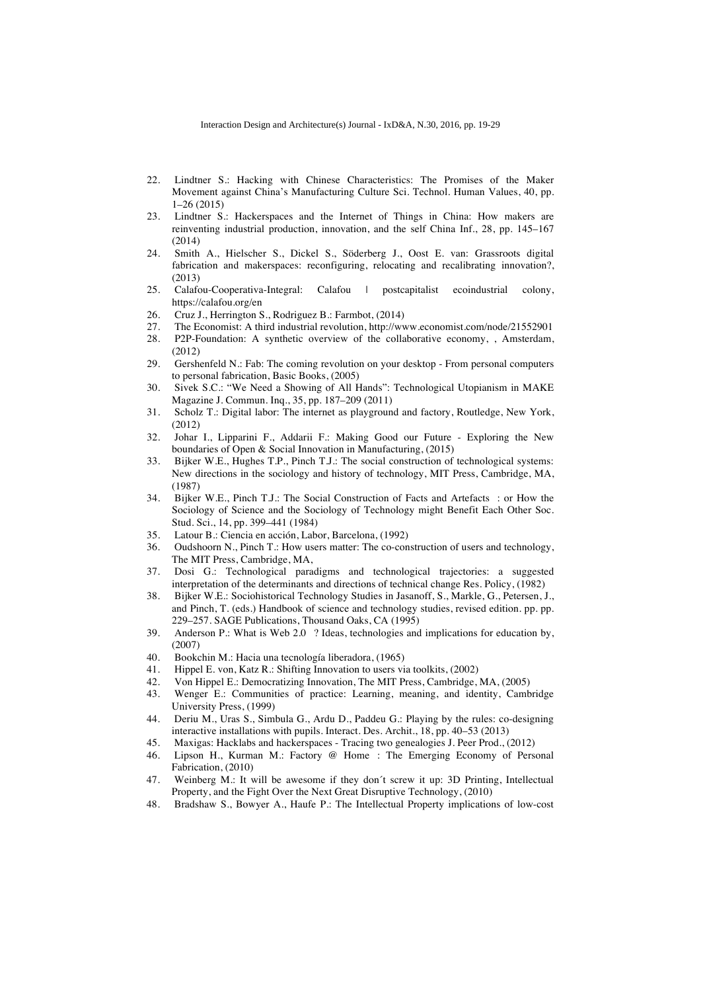- 22. Lindtner S.: Hacking with Chinese Characteristics: The Promises of the Maker Movement against China's Manufacturing Culture Sci. Technol. Human Values, 40, pp. 1–26 (2015)
- 23. Lindtner S.: Hackerspaces and the Internet of Things in China: How makers are reinventing industrial production, innovation, and the self China Inf., 28, pp. 145–167 (2014)
- 24. Smith A., Hielscher S., Dickel S., Söderberg J., Oost E. van: Grassroots digital fabrication and makerspaces: reconfiguring, relocating and recalibrating innovation?, (2013)
- 25. Calafou-Cooperativa-Integral: Calafou | postcapitalist ecoindustrial colony, https://calafou.org/en
- 26. Cruz J., Herrington S., Rodriguez B.: Farmbot, (2014)<br>27. The Economist: A third industrial revolution. http://ww
- 27. The Economist: A third industrial revolution, http://www.economist.com/node/21552901
- 28. P2P-Foundation: A synthetic overview of the collaborative economy, , Amsterdam, (2012)
- 29. Gershenfeld N.: Fab: The coming revolution on your desktop From personal computers to personal fabrication, Basic Books, (2005)
- 30. Sivek S.C.: "We Need a Showing of All Hands": Technological Utopianism in MAKE Magazine J. Commun. Inq., 35, pp. 187–209 (2011)
- 31. Scholz T.: Digital labor: The internet as playground and factory, Routledge, New York, (2012)
- 32. Johar I., Lipparini F., Addarii F.: Making Good our Future Exploring the New boundaries of Open & Social Innovation in Manufacturing, (2015)
- 33. Bijker W.E., Hughes T.P., Pinch T.J.: The social construction of technological systems: New directions in the sociology and history of technology, MIT Press, Cambridge, MA, (1987)
- 34. Bijker W.E., Pinch T.J.: The Social Construction of Facts and Artefacts: or How the Sociology of Science and the Sociology of Technology might Benefit Each Other Soc. Stud. Sci., 14, pp. 399–441 (1984)
- 35. Latour B.: Ciencia en acción, Labor, Barcelona, (1992)
- 36. Oudshoorn N., Pinch T.: How users matter: The co-construction of users and technology, The MIT Press, Cambridge, MA,
- 37. Dosi G.: Technological paradigms and technological trajectories: a suggested interpretation of the determinants and directions of technical change Res. Policy, (1982)
- 38. Bijker W.E.: Sociohistorical Technology Studies in Jasanoff, S., Markle, G., Petersen, J., and Pinch, T. (eds.) Handbook of science and technology studies, revised edition. pp. pp. 229–257. SAGE Publications, Thousand Oaks, CA (1995)
- 39. Anderson P.: What is Web 2.0? Ideas, technologies and implications for education by, (2007)
- 40. Bookchin M.: Hacia una tecnología liberadora, (1965)
- 41. Hippel E. von, Katz R.: Shifting Innovation to users via toolkits, (2002)
- 42. Von Hippel E.: Democratizing Innovation, The MIT Press, Cambridge, MA, (2005)
- 43. Wenger E.: Communities of practice: Learning, meaning, and identity, Cambridge University Press, (1999)
- 44. Deriu M., Uras S., Simbula G., Ardu D., Paddeu G.: Playing by the rules: co-designing interactive installations with pupils. Interact. Des. Archit., 18, pp. 40–53 (2013)
- 45. Maxigas: Hacklabs and hackerspaces Tracing two genealogies J. Peer Prod., (2012)
- 46. Lipson H., Kurman M.: Factory @ Home: The Emerging Economy of Personal Fabrication, (2010)
- 47. Weinberg M.: It will be awesome if they don´t screw it up: 3D Printing, Intellectual Property, and the Fight Over the Next Great Disruptive Technology, (2010)
- 48. Bradshaw S., Bowyer A., Haufe P.: The Intellectual Property implications of low-cost